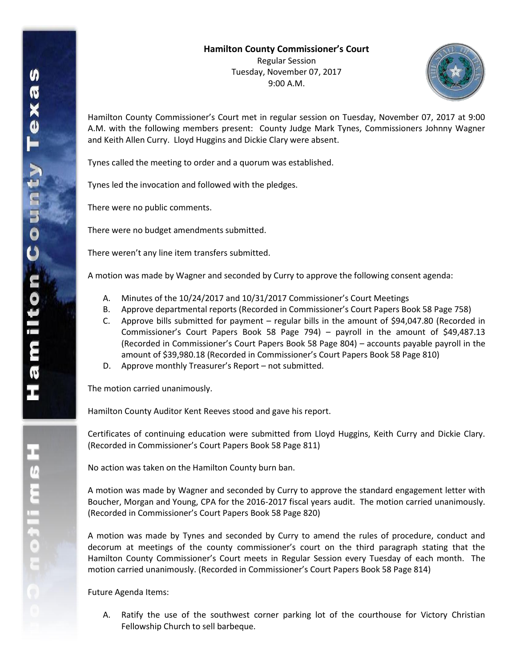

Hamilton County Commissioner's Court met in regular session on Tuesday, November 07, 2017 at 9:00 A.M. with the following members present: County Judge Mark Tynes, Commissioners Johnny Wagner and Keith Allen Curry. Lloyd Huggins and Dickie Clary were absent.

Tynes called the meeting to order and a quorum was established.

Tynes led the invocation and followed with the pledges.

There were no public comments.

There were no budget amendments submitted.

There weren't any line item transfers submitted.

A motion was made by Wagner and seconded by Curry to approve the following consent agenda:

- A. Minutes of the 10/24/2017 and 10/31/2017 Commissioner's Court Meetings
- B. Approve departmental reports (Recorded in Commissioner's Court Papers Book 58 Page 758)
- C. Approve bills submitted for payment regular bills in the amount of \$94,047.80 (Recorded in Commissioner's Court Papers Book 58 Page 794) – payroll in the amount of \$49,487.13 (Recorded in Commissioner's Court Papers Book 58 Page 804) – accounts payable payroll in the amount of \$39,980.18 (Recorded in Commissioner's Court Papers Book 58 Page 810)
- D. Approve monthly Treasurer's Report not submitted.

The motion carried unanimously.

Hamilton County Auditor Kent Reeves stood and gave his report.

Certificates of continuing education were submitted from Lloyd Huggins, Keith Curry and Dickie Clary. (Recorded in Commissioner's Court Papers Book 58 Page 811)

No action was taken on the Hamilton County burn ban.

A motion was made by Wagner and seconded by Curry to approve the standard engagement letter with Boucher, Morgan and Young, CPA for the 2016-2017 fiscal years audit. The motion carried unanimously. (Recorded in Commissioner's Court Papers Book 58 Page 820)

A motion was made by Tynes and seconded by Curry to amend the rules of procedure, conduct and decorum at meetings of the county commissioner's court on the third paragraph stating that the Hamilton County Commissioner's Court meets in Regular Session every Tuesday of each month. The motion carried unanimously. (Recorded in Commissioner's Court Papers Book 58 Page 814)

Future Agenda Items:

A. Ratify the use of the southwest corner parking lot of the courthouse for Victory Christian Fellowship Church to sell barbeque.